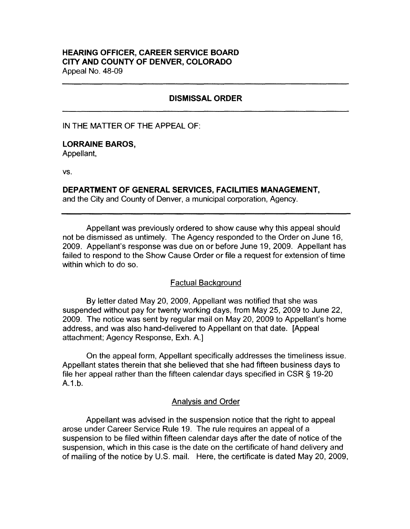# **HEARING OFFICER, CAREER SERVICE BOARD CITY AND COUNTY OF DENVER, COLORADO**  Appeal No. 48-09

# **DISMISSAL ORDER**

#### IN THE MATTER OF THE APPEAL OF:

## **LORRAINE BAROS,**

Appellant,

vs.

## **DEPARTMENT OF GENERAL SERVICES, FACILITIES MANAGEMENT,**

and the City and County of Denver, a municipal corporation, Agency.

Appellant was previously ordered to show cause why this appeal should not be dismissed as untimely. The Agency responded to the Order on June 16, 2009. Appellant's response was due on or before June 19, 2009. Appellant has failed to respond to the Show Cause Order or file a request for extension of time within which to do so.

### Factual Background

By letter dated May 20, 2009, Appellant was notified that she was suspended without pay for twenty working days, from May 25, 2009 to June 22, 2009. The notice was sent by regular mail on May 20, 2009 to Appellant's home address, and was also hand-delivered to Appellant on that date. [Appeal attachment; Agency Response, Exh. A.]

On the appeal form, Appellant specifically addresses the timeliness issue. Appellant states therein that she believed that she had fifteen business days to file her appeal rather than the fifteen calendar days specified in CSR § 19-20 A.1.b.

### Analysis and Order

Appellant was advised in the suspension notice that the right to appeal arose under Career Service Rule 19. The rule requires an appeal of a suspension to be filed within fifteen calendar days after the date of notice of the suspension, which in this case is the date on the certificate of hand delivery and of mailing of the notice by U.S. mail. Here, the certificate is dated May 20, 2009,